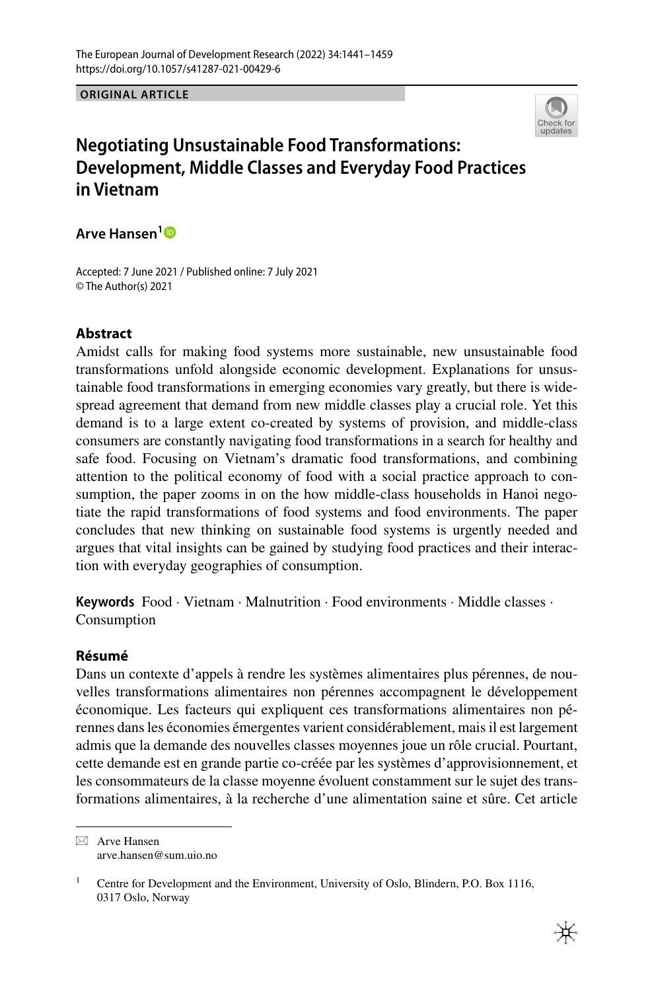**ORIGINAL ARTICLE**



# **Negotiating Unsustainable Food Transformations: Development, Middle Classes and Everyday Food Practices in Vietnam**

**Arve Hansen[1](http://orcid.org/0000-0003-1578-1463)**

Accepted: 7 June 2021 / Published online: 7 July 2021 © The Author(s) 2021

# **Abstract**

Amidst calls for making food systems more sustainable, new unsustainable food transformations unfold alongside economic development. Explanations for unsustainable food transformations in emerging economies vary greatly, but there is widespread agreement that demand from new middle classes play a crucial role. Yet this demand is to a large extent co-created by systems of provision, and middle-class consumers are constantly navigating food transformations in a search for healthy and safe food. Focusing on Vietnam's dramatic food transformations, and combining attention to the political economy of food with a social practice approach to consumption, the paper zooms in on the how middle-class households in Hanoi negotiate the rapid transformations of food systems and food environments. The paper concludes that new thinking on sustainable food systems is urgently needed and argues that vital insights can be gained by studying food practices and their interaction with everyday geographies of consumption.

**Keywords** Food · Vietnam · Malnutrition · Food environments · Middle classes · Consumption

## **Résumé**

Dans un contexte d'appels à rendre les systèmes alimentaires plus pérennes, de nouvelles transformations alimentaires non pérennes accompagnent le développement économique. Les facteurs qui expliquent ces transformations alimentaires non pérennes dans les économies émergentes varient considérablement, mais il est largement admis que la demande des nouvelles classes moyennes joue un rôle crucial. Pourtant, cette demande est en grande partie co-créée par les systèmes d'approvisionnement, et les consommateurs de la classe moyenne évoluent constamment sur le sujet des transformations alimentaires, à la recherche d'une alimentation saine et sûre. Cet article

 $\boxtimes$  Arve Hansen arve.hansen@sum.uio.no

<sup>&</sup>lt;sup>1</sup> Centre for Development and the Environment, University of Oslo, Blindern, P.O. Box 1116, 0317 Oslo, Norway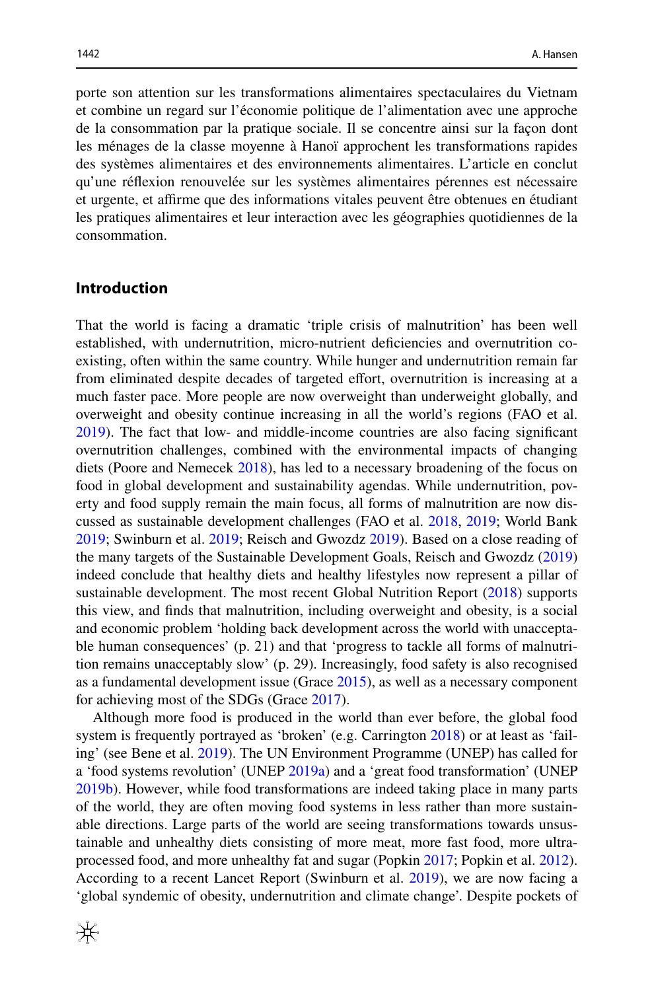porte son attention sur les transformations alimentaires spectaculaires du Vietnam et combine un regard sur l'économie politique de l'alimentation avec une approche de la consommation par la pratique sociale. Il se concentre ainsi sur la façon dont les ménages de la classe moyenne à Hanoï approchent les transformations rapides des systèmes alimentaires et des environnements alimentaires. L'article en conclut qu'une réfexion renouvelée sur les systèmes alimentaires pérennes est nécessaire et urgente, et afrme que des informations vitales peuvent être obtenues en étudiant les pratiques alimentaires et leur interaction avec les géographies quotidiennes de la consommation.

#### **Introduction**

That the world is facing a dramatic 'triple crisis of malnutrition' has been well established, with undernutrition, micro-nutrient defciencies and overnutrition coexisting, often within the same country. While hunger and undernutrition remain far from eliminated despite decades of targeted efort, overnutrition is increasing at a much faster pace. More people are now overweight than underweight globally, and overweight and obesity continue increasing in all the world's regions (FAO et al. [2019](#page-15-0)). The fact that low- and middle-income countries are also facing signifcant overnutrition challenges, combined with the environmental impacts of changing diets (Poore and Nemecek [2018\)](#page-16-0), has led to a necessary broadening of the focus on food in global development and sustainability agendas. While undernutrition, poverty and food supply remain the main focus, all forms of malnutrition are now discussed as sustainable development challenges (FAO et al. [2018,](#page-15-1) [2019](#page-15-0); World Bank [2019](#page-18-0); Swinburn et al. [2019;](#page-17-0) Reisch and Gwozdz [2019\)](#page-17-1). Based on a close reading of the many targets of the Sustainable Development Goals, Reisch and Gwozdz [\(2019](#page-17-1)) indeed conclude that healthy diets and healthy lifestyles now represent a pillar of sustainable development. The most recent Global Nutrition Report ([2018\)](#page-15-2) supports this view, and fnds that malnutrition, including overweight and obesity, is a social and economic problem 'holding back development across the world with unacceptable human consequences' (p. 21) and that 'progress to tackle all forms of malnutrition remains unacceptably slow' (p. 29). Increasingly, food safety is also recognised as a fundamental development issue (Grace [2015\)](#page-15-3), as well as a necessary component for achieving most of the SDGs (Grace [2017](#page-15-4)).

Although more food is produced in the world than ever before, the global food system is frequently portrayed as 'broken' (e.g. Carrington [2018\)](#page-15-5) or at least as 'failing' (see Bene et al. [2019\)](#page-15-6). The UN Environment Programme (UNEP) has called for a 'food systems revolution' (UNEP [2019a](#page-17-2)) and a 'great food transformation' (UNEP [2019b](#page-17-3)). However, while food transformations are indeed taking place in many parts of the world, they are often moving food systems in less rather than more sustainable directions. Large parts of the world are seeing transformations towards unsustainable and unhealthy diets consisting of more meat, more fast food, more ultraprocessed food, and more unhealthy fat and sugar (Popkin [2017;](#page-16-1) Popkin et al. [2012\)](#page-17-4). According to a recent Lancet Report (Swinburn et al. [2019](#page-17-0)), we are now facing a 'global syndemic of obesity, undernutrition and climate change'. Despite pockets of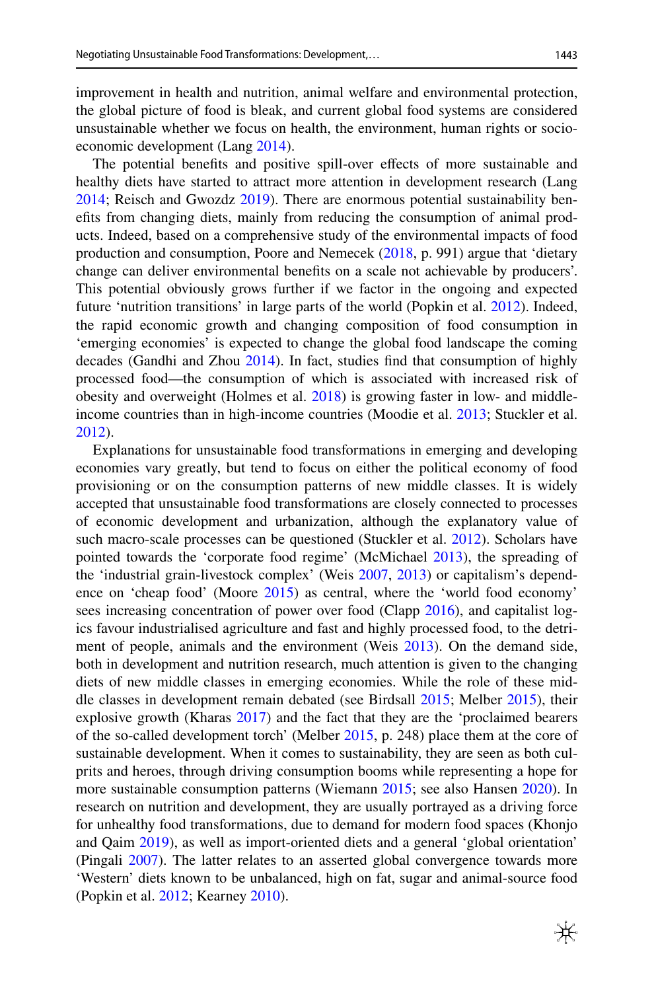improvement in health and nutrition, animal welfare and environmental protection, the global picture of food is bleak, and current global food systems are considered unsustainable whether we focus on health, the environment, human rights or socioeconomic development (Lang [2014\)](#page-16-2).

The potential benefits and positive spill-over effects of more sustainable and healthy diets have started to attract more attention in development research (Lang [2014](#page-16-2); Reisch and Gwozdz [2019](#page-17-1)). There are enormous potential sustainability benefts from changing diets, mainly from reducing the consumption of animal products. Indeed, based on a comprehensive study of the environmental impacts of food production and consumption, Poore and Nemecek ([2018,](#page-16-0) p. 991) argue that 'dietary change can deliver environmental benefts on a scale not achievable by producers'. This potential obviously grows further if we factor in the ongoing and expected future 'nutrition transitions' in large parts of the world (Popkin et al. [2012\)](#page-17-4). Indeed, the rapid economic growth and changing composition of food consumption in 'emerging economies' is expected to change the global food landscape the coming decades (Gandhi and Zhou [2014](#page-15-7)). In fact, studies fnd that consumption of highly processed food—the consumption of which is associated with increased risk of obesity and overweight (Holmes et al. [2018\)](#page-16-3) is growing faster in low- and middleincome countries than in high-income countries (Moodie et al. [2013](#page-16-4); Stuckler et al. [2012](#page-17-5)).

Explanations for unsustainable food transformations in emerging and developing economies vary greatly, but tend to focus on either the political economy of food provisioning or on the consumption patterns of new middle classes. It is widely accepted that unsustainable food transformations are closely connected to processes of economic development and urbanization, although the explanatory value of such macro-scale processes can be questioned (Stuckler et al. [2012\)](#page-17-5). Scholars have pointed towards the 'corporate food regime' (McMichael [2013](#page-16-5)), the spreading of the 'industrial grain-livestock complex' (Weis [2007](#page-18-1), [2013\)](#page-18-2) or capitalism's dependence on 'cheap food' (Moore [2015\)](#page-16-6) as central, where the 'world food economy' sees increasing concentration of power over food (Clapp [2016\)](#page-15-8), and capitalist logics favour industrialised agriculture and fast and highly processed food, to the detriment of people, animals and the environment (Weis [2013\)](#page-18-2). On the demand side, both in development and nutrition research, much attention is given to the changing diets of new middle classes in emerging economies. While the role of these middle classes in development remain debated (see Birdsall [2015;](#page-15-9) Melber [2015\)](#page-16-7), their explosive growth (Kharas [2017](#page-16-8)) and the fact that they are the 'proclaimed bearers of the so-called development torch' (Melber [2015](#page-16-7), p. 248) place them at the core of sustainable development. When it comes to sustainability, they are seen as both culprits and heroes, through driving consumption booms while representing a hope for more sustainable consumption patterns (Wiemann [2015](#page-18-3); see also Hansen [2020](#page-16-9)). In research on nutrition and development, they are usually portrayed as a driving force for unhealthy food transformations, due to demand for modern food spaces (Khonjo and Qaim [2019\)](#page-16-10), as well as import-oriented diets and a general 'global orientation' (Pingali [2007](#page-16-11)). The latter relates to an asserted global convergence towards more 'Western' diets known to be unbalanced, high on fat, sugar and animal-source food (Popkin et al. [2012;](#page-17-4) Kearney [2010](#page-16-12)).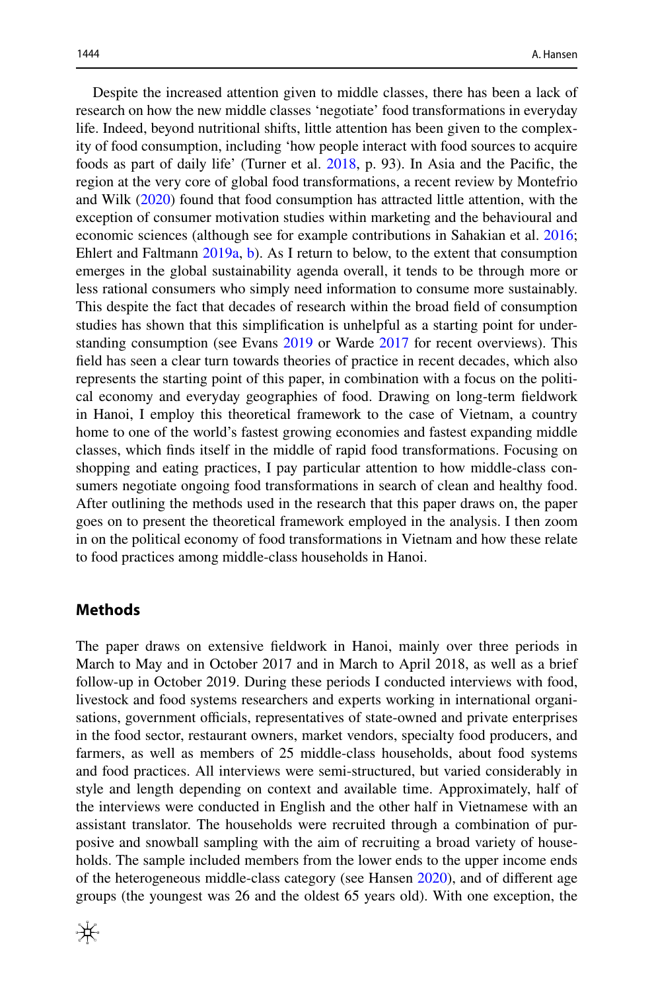Despite the increased attention given to middle classes, there has been a lack of research on how the new middle classes 'negotiate' food transformations in everyday life. Indeed, beyond nutritional shifts, little attention has been given to the complexity of food consumption, including 'how people interact with food sources to acquire foods as part of daily life' (Turner et al. [2018,](#page-17-6) p. 93). In Asia and the Pacifc, the region at the very core of global food transformations, a recent review by Montefrio and Wilk [\(2020](#page-16-13)) found that food consumption has attracted little attention, with the exception of consumer motivation studies within marketing and the behavioural and economic sciences (although see for example contributions in Sahakian et al. [2016;](#page-17-7) Ehlert and Faltmann [2019a,](#page-15-10) [b\)](#page-15-11). As I return to below, to the extent that consumption emerges in the global sustainability agenda overall, it tends to be through more or less rational consumers who simply need information to consume more sustainably. This despite the fact that decades of research within the broad feld of consumption studies has shown that this simplifcation is unhelpful as a starting point for understanding consumption (see Evans [2019](#page-15-12) or Warde [2017](#page-18-4) for recent overviews). This feld has seen a clear turn towards theories of practice in recent decades, which also represents the starting point of this paper, in combination with a focus on the political economy and everyday geographies of food. Drawing on long-term feldwork in Hanoi, I employ this theoretical framework to the case of Vietnam, a country home to one of the world's fastest growing economies and fastest expanding middle classes, which fnds itself in the middle of rapid food transformations. Focusing on shopping and eating practices, I pay particular attention to how middle-class consumers negotiate ongoing food transformations in search of clean and healthy food. After outlining the methods used in the research that this paper draws on, the paper goes on to present the theoretical framework employed in the analysis. I then zoom in on the political economy of food transformations in Vietnam and how these relate to food practices among middle-class households in Hanoi.

#### **Methods**

The paper draws on extensive feldwork in Hanoi, mainly over three periods in March to May and in October 2017 and in March to April 2018, as well as a brief follow-up in October 2019. During these periods I conducted interviews with food, livestock and food systems researchers and experts working in international organisations, government officials, representatives of state-owned and private enterprises in the food sector, restaurant owners, market vendors, specialty food producers, and farmers, as well as members of 25 middle-class households, about food systems and food practices. All interviews were semi-structured, but varied considerably in style and length depending on context and available time. Approximately, half of the interviews were conducted in English and the other half in Vietnamese with an assistant translator. The households were recruited through a combination of purposive and snowball sampling with the aim of recruiting a broad variety of households. The sample included members from the lower ends to the upper income ends of the heterogeneous middle-class category (see Hansen [2020\)](#page-16-9), and of diferent age groups (the youngest was 26 and the oldest 65 years old). With one exception, the

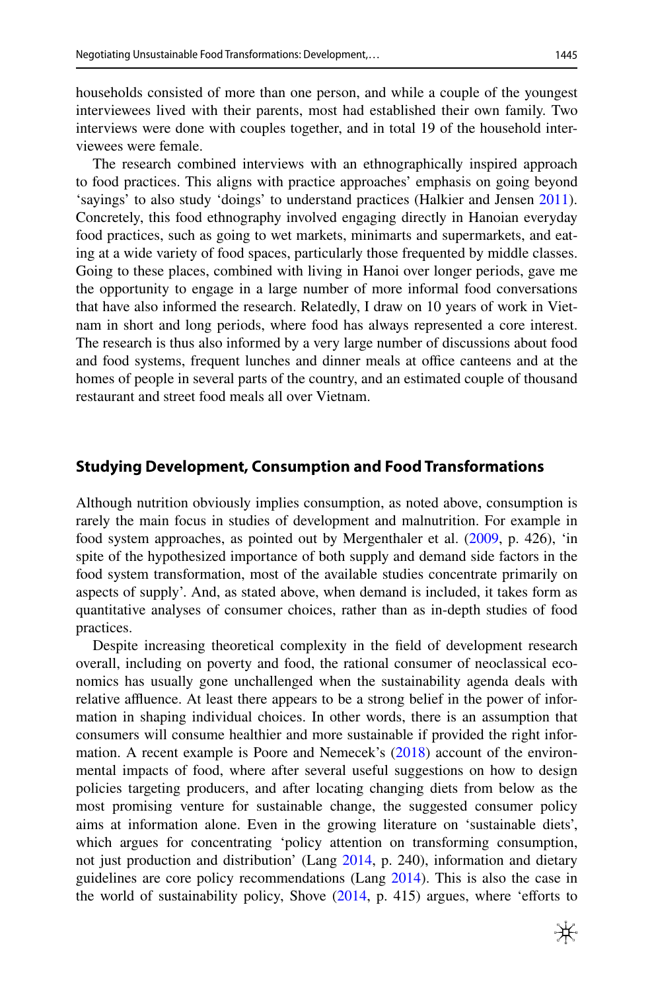households consisted of more than one person, and while a couple of the youngest interviewees lived with their parents, most had established their own family. Two interviews were done with couples together, and in total 19 of the household interviewees were female.

The research combined interviews with an ethnographically inspired approach to food practices. This aligns with practice approaches' emphasis on going beyond 'sayings' to also study 'doings' to understand practices (Halkier and Jensen [2011\)](#page-15-13). Concretely, this food ethnography involved engaging directly in Hanoian everyday food practices, such as going to wet markets, minimarts and supermarkets, and eating at a wide variety of food spaces, particularly those frequented by middle classes. Going to these places, combined with living in Hanoi over longer periods, gave me the opportunity to engage in a large number of more informal food conversations that have also informed the research. Relatedly, I draw on 10 years of work in Vietnam in short and long periods, where food has always represented a core interest. The research is thus also informed by a very large number of discussions about food and food systems, frequent lunches and dinner meals at office canteens and at the homes of people in several parts of the country, and an estimated couple of thousand restaurant and street food meals all over Vietnam.

#### **Studying Development, Consumption and Food Transformations**

Although nutrition obviously implies consumption, as noted above, consumption is rarely the main focus in studies of development and malnutrition. For example in food system approaches, as pointed out by Mergenthaler et al. [\(2009](#page-16-14), p. 426), 'in spite of the hypothesized importance of both supply and demand side factors in the food system transformation, most of the available studies concentrate primarily on aspects of supply'. And, as stated above, when demand is included, it takes form as quantitative analyses of consumer choices, rather than as in-depth studies of food practices.

Despite increasing theoretical complexity in the feld of development research overall, including on poverty and food, the rational consumer of neoclassical economics has usually gone unchallenged when the sustainability agenda deals with relative affluence. At least there appears to be a strong belief in the power of information in shaping individual choices. In other words, there is an assumption that consumers will consume healthier and more sustainable if provided the right information. A recent example is Poore and Nemecek's [\(2018](#page-16-0)) account of the environmental impacts of food, where after several useful suggestions on how to design policies targeting producers, and after locating changing diets from below as the most promising venture for sustainable change, the suggested consumer policy aims at information alone. Even in the growing literature on 'sustainable diets', which argues for concentrating 'policy attention on transforming consumption, not just production and distribution' (Lang [2014](#page-16-2), p. 240), information and dietary guidelines are core policy recommendations (Lang [2014](#page-16-2)). This is also the case in the world of sustainability policy, Shove  $(2014, p. 415)$  $(2014, p. 415)$  $(2014, p. 415)$  argues, where 'efforts to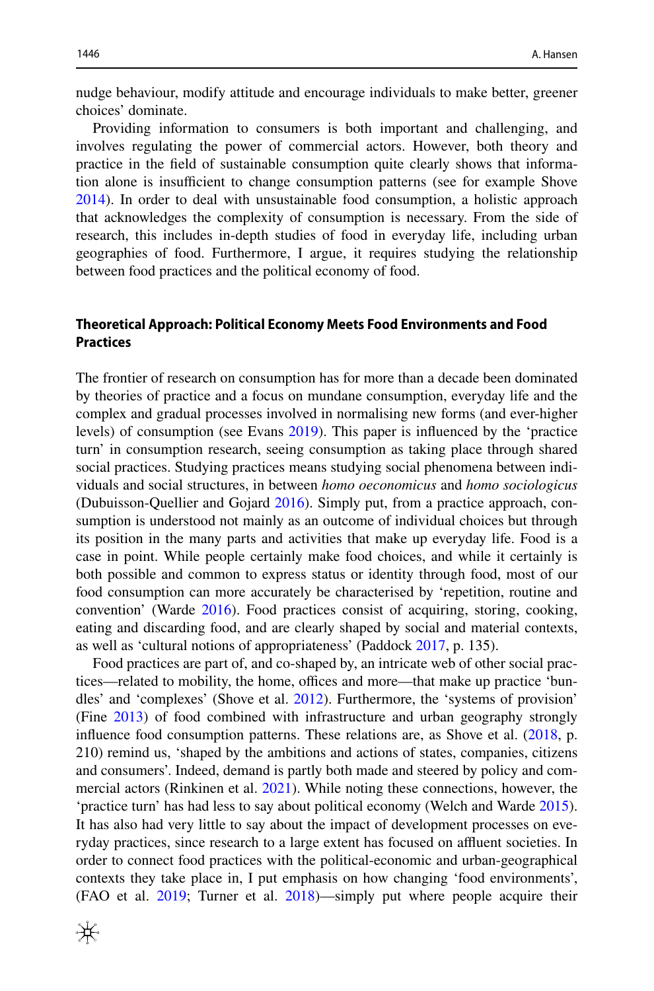nudge behaviour, modify attitude and encourage individuals to make better, greener choices' dominate.

Providing information to consumers is both important and challenging, and involves regulating the power of commercial actors. However, both theory and practice in the feld of sustainable consumption quite clearly shows that information alone is insufficient to change consumption patterns (see for example Shove [2014](#page-17-8)). In order to deal with unsustainable food consumption, a holistic approach that acknowledges the complexity of consumption is necessary. From the side of research, this includes in-depth studies of food in everyday life, including urban geographies of food. Furthermore, I argue, it requires studying the relationship between food practices and the political economy of food.

## **Theoretical Approach: Political Economy Meets Food Environments and Food Practices**

The frontier of research on consumption has for more than a decade been dominated by theories of practice and a focus on mundane consumption, everyday life and the complex and gradual processes involved in normalising new forms (and ever-higher levels) of consumption (see Evans [2019](#page-15-12)). This paper is infuenced by the 'practice turn' in consumption research, seeing consumption as taking place through shared social practices. Studying practices means studying social phenomena between individuals and social structures, in between *homo oeconomicus* and *homo sociologicus* (Dubuisson-Quellier and Gojard [2016\)](#page-15-14). Simply put, from a practice approach, consumption is understood not mainly as an outcome of individual choices but through its position in the many parts and activities that make up everyday life. Food is a case in point. While people certainly make food choices, and while it certainly is both possible and common to express status or identity through food, most of our food consumption can more accurately be characterised by 'repetition, routine and convention' (Warde [2016\)](#page-18-5). Food practices consist of acquiring, storing, cooking, eating and discarding food, and are clearly shaped by social and material contexts, as well as 'cultural notions of appropriateness' (Paddock [2017,](#page-16-15) p. 135).

Food practices are part of, and co-shaped by, an intricate web of other social practices—related to mobility, the home, offices and more—that make up practice 'bundles' and 'complexes' (Shove et al. [2012](#page-17-9)). Furthermore, the 'systems of provision' (Fine [2013](#page-15-15)) of food combined with infrastructure and urban geography strongly infuence food consumption patterns. These relations are, as Shove et al. ([2018,](#page-17-10) p. 210) remind us, 'shaped by the ambitions and actions of states, companies, citizens and consumers'. Indeed, demand is partly both made and steered by policy and commercial actors (Rinkinen et al. [2021](#page-17-11)). While noting these connections, however, the 'practice turn' has had less to say about political economy (Welch and Warde [2015\)](#page-18-6). It has also had very little to say about the impact of development processes on everyday practices, since research to a large extent has focused on affluent societies. In order to connect food practices with the political-economic and urban-geographical contexts they take place in, I put emphasis on how changing 'food environments', (FAO et al. [2019](#page-15-0); Turner et al. [2018\)](#page-17-6)—simply put where people acquire their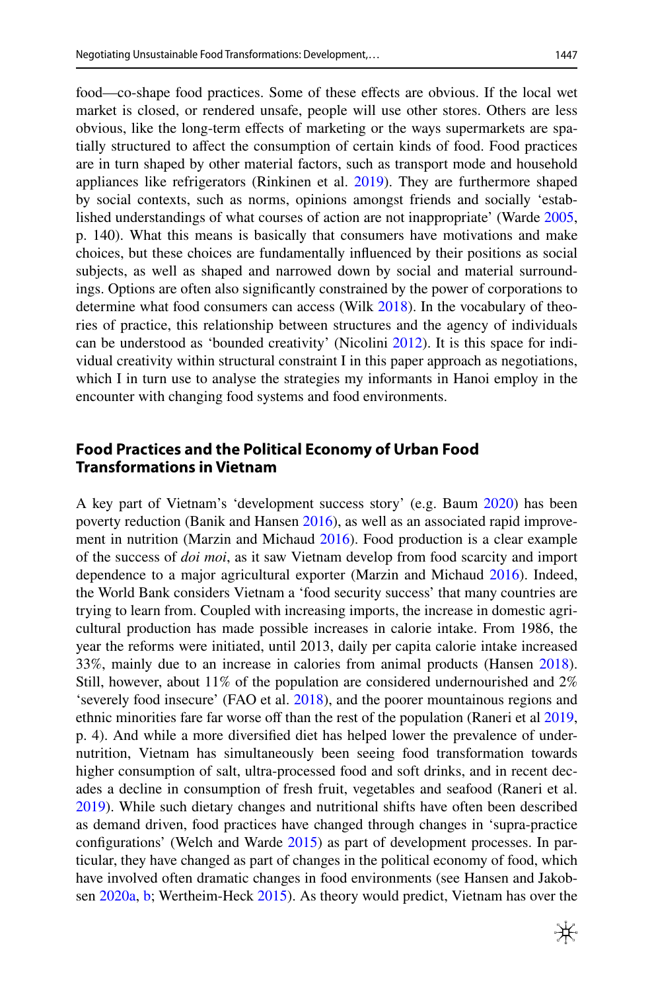food—co-shape food practices. Some of these efects are obvious. If the local wet market is closed, or rendered unsafe, people will use other stores. Others are less obvious, like the long-term efects of marketing or the ways supermarkets are spatially structured to afect the consumption of certain kinds of food. Food practices are in turn shaped by other material factors, such as transport mode and household appliances like refrigerators (Rinkinen et al. [2019](#page-17-12)). They are furthermore shaped by social contexts, such as norms, opinions amongst friends and socially 'established understandings of what courses of action are not inappropriate' (Warde [2005,](#page-18-7) p. 140). What this means is basically that consumers have motivations and make choices, but these choices are fundamentally infuenced by their positions as social subjects, as well as shaped and narrowed down by social and material surroundings. Options are often also signifcantly constrained by the power of corporations to determine what food consumers can access (Wilk [2018](#page-18-8)). In the vocabulary of theories of practice, this relationship between structures and the agency of individuals can be understood as 'bounded creativity' (Nicolini [2012\)](#page-16-16). It is this space for individual creativity within structural constraint I in this paper approach as negotiations, which I in turn use to analyse the strategies my informants in Hanoi employ in the encounter with changing food systems and food environments.

# **Food Practices and the Political Economy of Urban Food Transformations in Vietnam**

A key part of Vietnam's 'development success story' (e.g. Baum [2020](#page-14-0)) has been poverty reduction (Banik and Hansen [2016\)](#page-14-1), as well as an associated rapid improvement in nutrition (Marzin and Michaud [2016](#page-16-17)). Food production is a clear example of the success of *doi moi*, as it saw Vietnam develop from food scarcity and import dependence to a major agricultural exporter (Marzin and Michaud [2016](#page-16-17)). Indeed, the World Bank considers Vietnam a 'food security success' that many countries are trying to learn from. Coupled with increasing imports, the increase in domestic agricultural production has made possible increases in calorie intake. From 1986, the year the reforms were initiated, until 2013, daily per capita calorie intake increased 33%, mainly due to an increase in calories from animal products (Hansen [2018\)](#page-15-16). Still, however, about 11% of the population are considered undernourished and 2% 'severely food insecure' (FAO et al. [2018\)](#page-15-1), and the poorer mountainous regions and ethnic minorities fare far worse off than the rest of the population (Raneri et al [2019,](#page-17-13) p. 4). And while a more diversifed diet has helped lower the prevalence of undernutrition, Vietnam has simultaneously been seeing food transformation towards higher consumption of salt, ultra-processed food and soft drinks, and in recent decades a decline in consumption of fresh fruit, vegetables and seafood (Raneri et al. [2019](#page-17-13)). While such dietary changes and nutritional shifts have often been described as demand driven, food practices have changed through changes in 'supra-practice confgurations' (Welch and Warde [2015](#page-18-6)) as part of development processes. In particular, they have changed as part of changes in the political economy of food, which have involved often dramatic changes in food environments (see Hansen and Jakobsen [2020a](#page-16-18), [b](#page-16-19); Wertheim-Heck [2015](#page-18-9)). As theory would predict, Vietnam has over the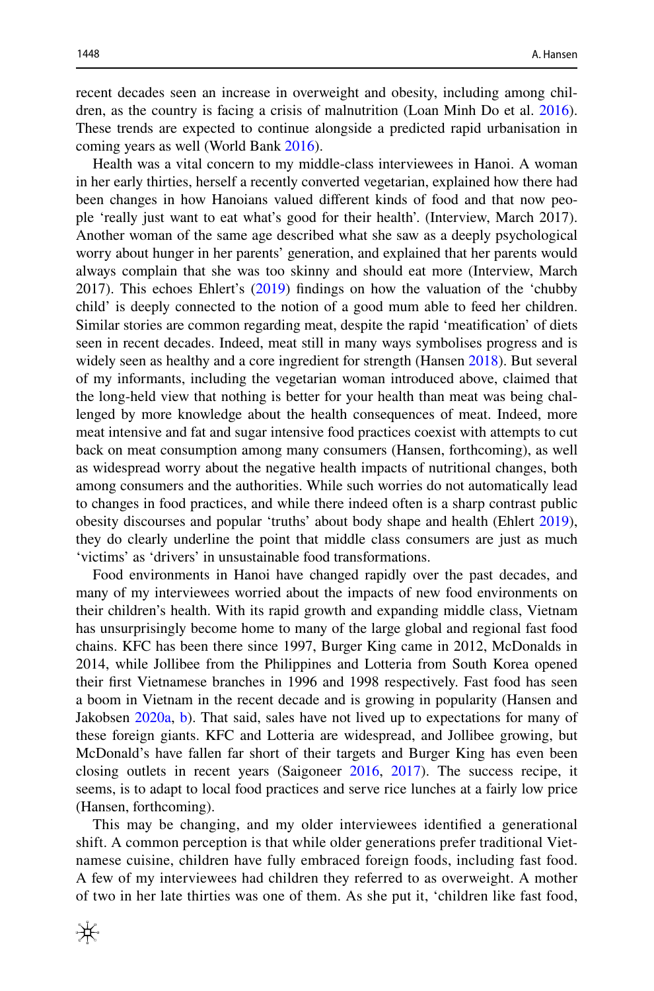recent decades seen an increase in overweight and obesity, including among children, as the country is facing a crisis of malnutrition (Loan Minh Do et al. [2016\)](#page-15-17). These trends are expected to continue alongside a predicted rapid urbanisation in coming years as well (World Bank [2016](#page-18-10)).

Health was a vital concern to my middle-class interviewees in Hanoi. A woman in her early thirties, herself a recently converted vegetarian, explained how there had been changes in how Hanoians valued diferent kinds of food and that now people 'really just want to eat what's good for their health'. (Interview, March 2017). Another woman of the same age described what she saw as a deeply psychological worry about hunger in her parents' generation, and explained that her parents would always complain that she was too skinny and should eat more (Interview, March 2017). This echoes Ehlert's ([2019\)](#page-15-18) fndings on how the valuation of the 'chubby child' is deeply connected to the notion of a good mum able to feed her children. Similar stories are common regarding meat, despite the rapid 'meatifcation' of diets seen in recent decades. Indeed, meat still in many ways symbolises progress and is widely seen as healthy and a core ingredient for strength (Hansen [2018](#page-15-16)). But several of my informants, including the vegetarian woman introduced above, claimed that the long-held view that nothing is better for your health than meat was being challenged by more knowledge about the health consequences of meat. Indeed, more meat intensive and fat and sugar intensive food practices coexist with attempts to cut back on meat consumption among many consumers (Hansen, forthcoming), as well as widespread worry about the negative health impacts of nutritional changes, both among consumers and the authorities. While such worries do not automatically lead to changes in food practices, and while there indeed often is a sharp contrast public obesity discourses and popular 'truths' about body shape and health (Ehlert [2019\)](#page-15-18), they do clearly underline the point that middle class consumers are just as much 'victims' as 'drivers' in unsustainable food transformations.

Food environments in Hanoi have changed rapidly over the past decades, and many of my interviewees worried about the impacts of new food environments on their children's health. With its rapid growth and expanding middle class, Vietnam has unsurprisingly become home to many of the large global and regional fast food chains. KFC has been there since 1997, Burger King came in 2012, McDonalds in 2014, while Jollibee from the Philippines and Lotteria from South Korea opened their frst Vietnamese branches in 1996 and 1998 respectively. Fast food has seen a boom in Vietnam in the recent decade and is growing in popularity (Hansen and Jakobsen [2020a](#page-16-18), [b\)](#page-16-19). That said, sales have not lived up to expectations for many of these foreign giants. KFC and Lotteria are widespread, and Jollibee growing, but McDonald's have fallen far short of their targets and Burger King has even been closing outlets in recent years (Saigoneer [2016](#page-17-14), [2017\)](#page-17-15). The success recipe, it seems, is to adapt to local food practices and serve rice lunches at a fairly low price (Hansen, forthcoming).

This may be changing, and my older interviewees identifed a generational shift. A common perception is that while older generations prefer traditional Vietnamese cuisine, children have fully embraced foreign foods, including fast food. A few of my interviewees had children they referred to as overweight. A mother of two in her late thirties was one of them. As she put it, 'children like fast food,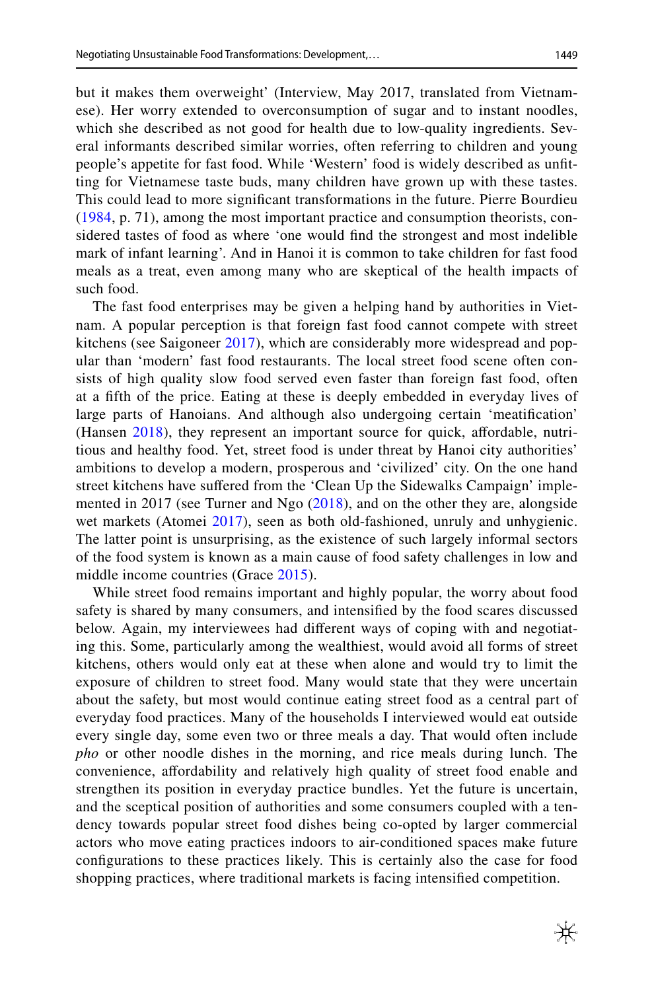but it makes them overweight' (Interview, May 2017, translated from Vietnamese). Her worry extended to overconsumption of sugar and to instant noodles, which she described as not good for health due to low-quality ingredients. Several informants described similar worries, often referring to children and young people's appetite for fast food. While 'Western' food is widely described as unftting for Vietnamese taste buds, many children have grown up with these tastes. This could lead to more signifcant transformations in the future. Pierre Bourdieu [\(1984](#page-15-19), p. 71), among the most important practice and consumption theorists, considered tastes of food as where 'one would fnd the strongest and most indelible mark of infant learning'. And in Hanoi it is common to take children for fast food meals as a treat, even among many who are skeptical of the health impacts of such food.

The fast food enterprises may be given a helping hand by authorities in Vietnam. A popular perception is that foreign fast food cannot compete with street kitchens (see Saigoneer [2017\)](#page-17-15), which are considerably more widespread and popular than 'modern' fast food restaurants. The local street food scene often consists of high quality slow food served even faster than foreign fast food, often at a ffth of the price. Eating at these is deeply embedded in everyday lives of large parts of Hanoians. And although also undergoing certain 'meatifcation' (Hansen [2018\)](#page-15-16), they represent an important source for quick, afordable, nutritious and healthy food. Yet, street food is under threat by Hanoi city authorities' ambitions to develop a modern, prosperous and 'civilized' city. On the one hand street kitchens have sufered from the 'Clean Up the Sidewalks Campaign' implemented in 2017 (see Turner and Ngo [\(2018\)](#page-17-16), and on the other they are, alongside wet markets (Atomei [2017](#page-14-2)), seen as both old-fashioned, unruly and unhygienic. The latter point is unsurprising, as the existence of such largely informal sectors of the food system is known as a main cause of food safety challenges in low and middle income countries (Grace [2015](#page-15-3)).

While street food remains important and highly popular, the worry about food safety is shared by many consumers, and intensifed by the food scares discussed below. Again, my interviewees had diferent ways of coping with and negotiating this. Some, particularly among the wealthiest, would avoid all forms of street kitchens, others would only eat at these when alone and would try to limit the exposure of children to street food. Many would state that they were uncertain about the safety, but most would continue eating street food as a central part of everyday food practices. Many of the households I interviewed would eat outside every single day, some even two or three meals a day. That would often include *pho* or other noodle dishes in the morning, and rice meals during lunch. The convenience, afordability and relatively high quality of street food enable and strengthen its position in everyday practice bundles. Yet the future is uncertain, and the sceptical position of authorities and some consumers coupled with a tendency towards popular street food dishes being co-opted by larger commercial actors who move eating practices indoors to air-conditioned spaces make future confgurations to these practices likely. This is certainly also the case for food shopping practices, where traditional markets is facing intensifed competition.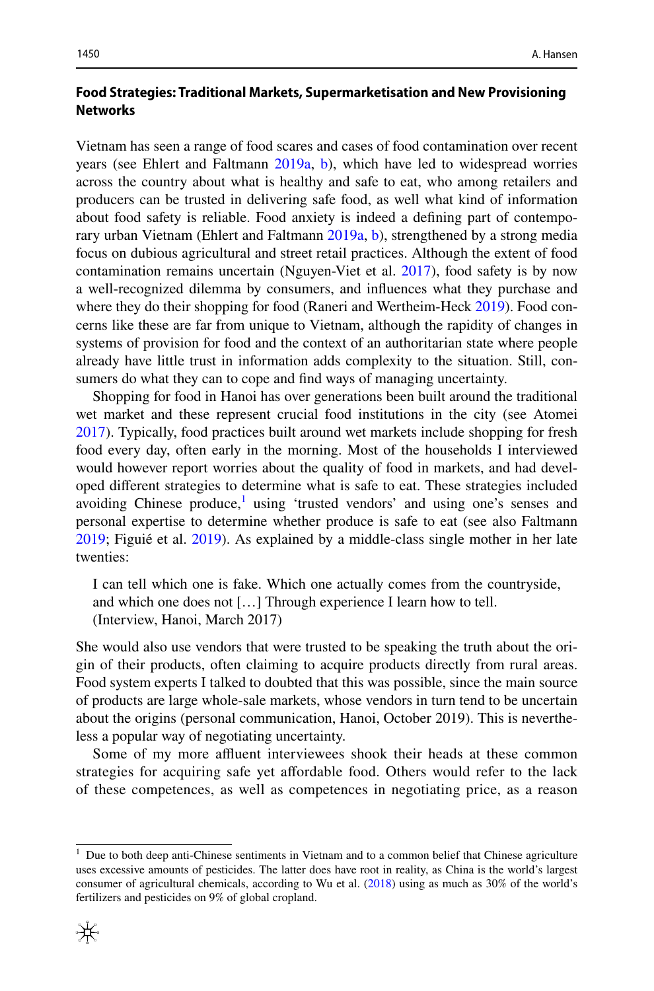## **Food Strategies: Traditional Markets, Supermarketisation and New Provisioning Networks**

Vietnam has seen a range of food scares and cases of food contamination over recent years (see Ehlert and Faltmann [2019a](#page-15-10), [b](#page-15-11)), which have led to widespread worries across the country about what is healthy and safe to eat, who among retailers and producers can be trusted in delivering safe food, as well what kind of information about food safety is reliable. Food anxiety is indeed a defning part of contemporary urban Vietnam (Ehlert and Faltmann [2019a,](#page-15-10) [b\)](#page-15-11), strengthened by a strong media focus on dubious agricultural and street retail practices. Although the extent of food contamination remains uncertain (Nguyen-Viet et al. [2017\)](#page-16-20), food safety is by now a well-recognized dilemma by consumers, and infuences what they purchase and where they do their shopping for food (Raneri and Wertheim-Heck [2019](#page-17-17)). Food concerns like these are far from unique to Vietnam, although the rapidity of changes in systems of provision for food and the context of an authoritarian state where people already have little trust in information adds complexity to the situation. Still, consumers do what they can to cope and fnd ways of managing uncertainty.

Shopping for food in Hanoi has over generations been built around the traditional wet market and these represent crucial food institutions in the city (see Atomei [2017](#page-14-2)). Typically, food practices built around wet markets include shopping for fresh food every day, often early in the morning. Most of the households I interviewed would however report worries about the quality of food in markets, and had developed diferent strategies to determine what is safe to eat. These strategies included avoiding Chinese produce, $\frac{1}{1}$  using 'trusted vendors' and using one's senses and personal expertise to determine whether produce is safe to eat (see also Faltmann [2019](#page-15-20); Figuié et al. [2019\)](#page-15-21). As explained by a middle-class single mother in her late twenties:

I can tell which one is fake. Which one actually comes from the countryside, and which one does not […] Through experience I learn how to tell. (Interview, Hanoi, March 2017)

She would also use vendors that were trusted to be speaking the truth about the origin of their products, often claiming to acquire products directly from rural areas. Food system experts I talked to doubted that this was possible, since the main source of products are large whole-sale markets, whose vendors in turn tend to be uncertain about the origins (personal communication, Hanoi, October 2019). This is nevertheless a popular way of negotiating uncertainty.

Some of my more affluent interviewees shook their heads at these common strategies for acquiring safe yet afordable food. Others would refer to the lack of these competences, as well as competences in negotiating price, as a reason

<span id="page-9-0"></span><sup>&</sup>lt;sup>1</sup> Due to both deep anti-Chinese sentiments in Vietnam and to a common belief that Chinese agriculture uses excessive amounts of pesticides. The latter does have root in reality, as China is the world's largest consumer of agricultural chemicals, according to Wu et al. [\(2018](#page-18-10)) using as much as 30% of the world's fertilizers and pesticides on 9% of global cropland.

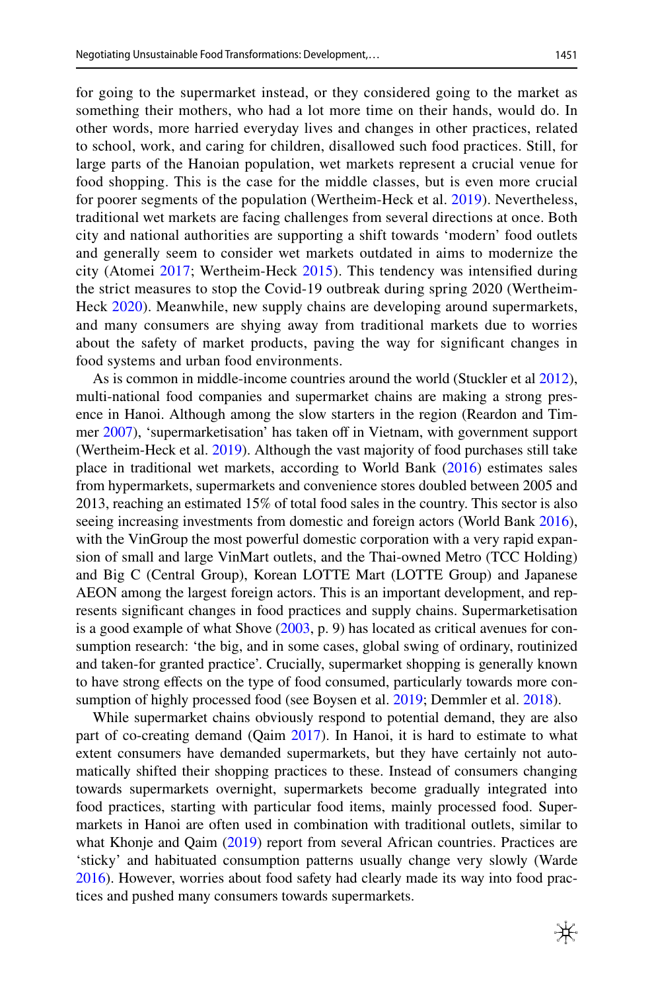for going to the supermarket instead, or they considered going to the market as something their mothers, who had a lot more time on their hands, would do. In other words, more harried everyday lives and changes in other practices, related to school, work, and caring for children, disallowed such food practices. Still, for large parts of the Hanoian population, wet markets represent a crucial venue for food shopping. This is the case for the middle classes, but is even more crucial for poorer segments of the population (Wertheim-Heck et al. [2019](#page-18-11)). Nevertheless, traditional wet markets are facing challenges from several directions at once. Both city and national authorities are supporting a shift towards 'modern' food outlets and generally seem to consider wet markets outdated in aims to modernize the city (Atomei [2017](#page-14-2); Wertheim-Heck [2015](#page-18-9)). This tendency was intensifed during the strict measures to stop the Covid-19 outbreak during spring 2020 (Wertheim-Heck [2020\)](#page-18-12). Meanwhile, new supply chains are developing around supermarkets, and many consumers are shying away from traditional markets due to worries about the safety of market products, paving the way for signifcant changes in food systems and urban food environments.

As is common in middle-income countries around the world (Stuckler et al [2012\)](#page-17-5), multi-national food companies and supermarket chains are making a strong presence in Hanoi. Although among the slow starters in the region (Reardon and Tim-mer [2007](#page-17-18)), 'supermarketisation' has taken off in Vietnam, with government support (Wertheim-Heck et al. [2019\)](#page-18-11). Although the vast majority of food purchases still take place in traditional wet markets, according to World Bank ([2016\)](#page-18-10) estimates sales from hypermarkets, supermarkets and convenience stores doubled between 2005 and 2013, reaching an estimated 15% of total food sales in the country. This sector is also seeing increasing investments from domestic and foreign actors (World Bank [2016\)](#page-18-10), with the VinGroup the most powerful domestic corporation with a very rapid expansion of small and large VinMart outlets, and the Thai-owned Metro (TCC Holding) and Big C (Central Group), Korean LOTTE Mart (LOTTE Group) and Japanese AEON among the largest foreign actors. This is an important development, and represents signifcant changes in food practices and supply chains. Supermarketisation is a good example of what Shove  $(2003, p. 9)$  $(2003, p. 9)$  $(2003, p. 9)$  has located as critical avenues for consumption research: 'the big, and in some cases, global swing of ordinary, routinized and taken-for granted practice'. Crucially, supermarket shopping is generally known to have strong efects on the type of food consumed, particularly towards more consumption of highly processed food (see Boysen et al. [2019](#page-15-22); Demmler et al. [2018\)](#page-15-23).

While supermarket chains obviously respond to potential demand, they are also part of co-creating demand (Qaim [2017\)](#page-17-20). In Hanoi, it is hard to estimate to what extent consumers have demanded supermarkets, but they have certainly not automatically shifted their shopping practices to these. Instead of consumers changing towards supermarkets overnight, supermarkets become gradually integrated into food practices, starting with particular food items, mainly processed food. Supermarkets in Hanoi are often used in combination with traditional outlets, similar to what Khonje and Qaim ([2019\)](#page-16-10) report from several African countries. Practices are 'sticky' and habituated consumption patterns usually change very slowly (Warde [2016](#page-18-5)). However, worries about food safety had clearly made its way into food practices and pushed many consumers towards supermarkets.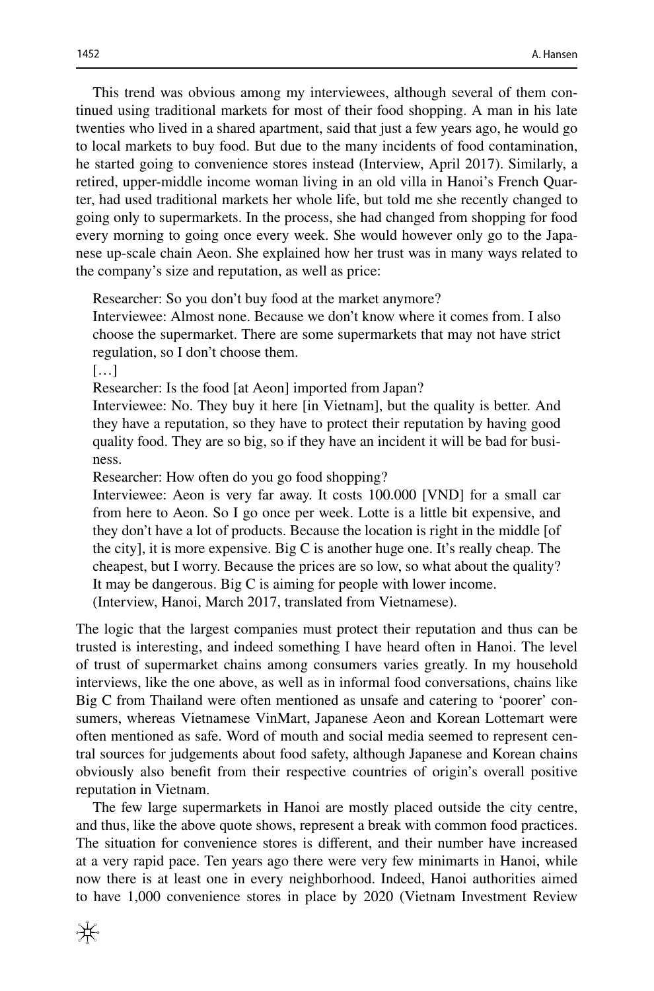This trend was obvious among my interviewees, although several of them continued using traditional markets for most of their food shopping. A man in his late twenties who lived in a shared apartment, said that just a few years ago, he would go to local markets to buy food. But due to the many incidents of food contamination, he started going to convenience stores instead (Interview, April 2017). Similarly, a retired, upper-middle income woman living in an old villa in Hanoi's French Quarter, had used traditional markets her whole life, but told me she recently changed to going only to supermarkets. In the process, she had changed from shopping for food every morning to going once every week. She would however only go to the Japanese up-scale chain Aeon. She explained how her trust was in many ways related to the company's size and reputation, as well as price:

Researcher: So you don't buy food at the market anymore?

Interviewee: Almost none. Because we don't know where it comes from. I also choose the supermarket. There are some supermarkets that may not have strict regulation, so I don't choose them.

 $[...]$ 

Researcher: Is the food [at Aeon] imported from Japan?

Interviewee: No. They buy it here [in Vietnam], but the quality is better. And they have a reputation, so they have to protect their reputation by having good quality food. They are so big, so if they have an incident it will be bad for business.

Researcher: How often do you go food shopping?

Interviewee: Aeon is very far away. It costs 100.000 [VND] for a small car from here to Aeon. So I go once per week. Lotte is a little bit expensive, and they don't have a lot of products. Because the location is right in the middle [of the city], it is more expensive. Big C is another huge one. It's really cheap. The cheapest, but I worry. Because the prices are so low, so what about the quality? It may be dangerous. Big C is aiming for people with lower income.

(Interview, Hanoi, March 2017, translated from Vietnamese).

The logic that the largest companies must protect their reputation and thus can be trusted is interesting, and indeed something I have heard often in Hanoi. The level of trust of supermarket chains among consumers varies greatly. In my household interviews, like the one above, as well as in informal food conversations, chains like Big C from Thailand were often mentioned as unsafe and catering to 'poorer' consumers, whereas Vietnamese VinMart, Japanese Aeon and Korean Lottemart were often mentioned as safe. Word of mouth and social media seemed to represent central sources for judgements about food safety, although Japanese and Korean chains obviously also beneft from their respective countries of origin's overall positive reputation in Vietnam.

The few large supermarkets in Hanoi are mostly placed outside the city centre, and thus, like the above quote shows, represent a break with common food practices. The situation for convenience stores is diferent, and their number have increased at a very rapid pace. Ten years ago there were very few minimarts in Hanoi, while now there is at least one in every neighborhood. Indeed, Hanoi authorities aimed to have 1,000 convenience stores in place by 2020 (Vietnam Investment Review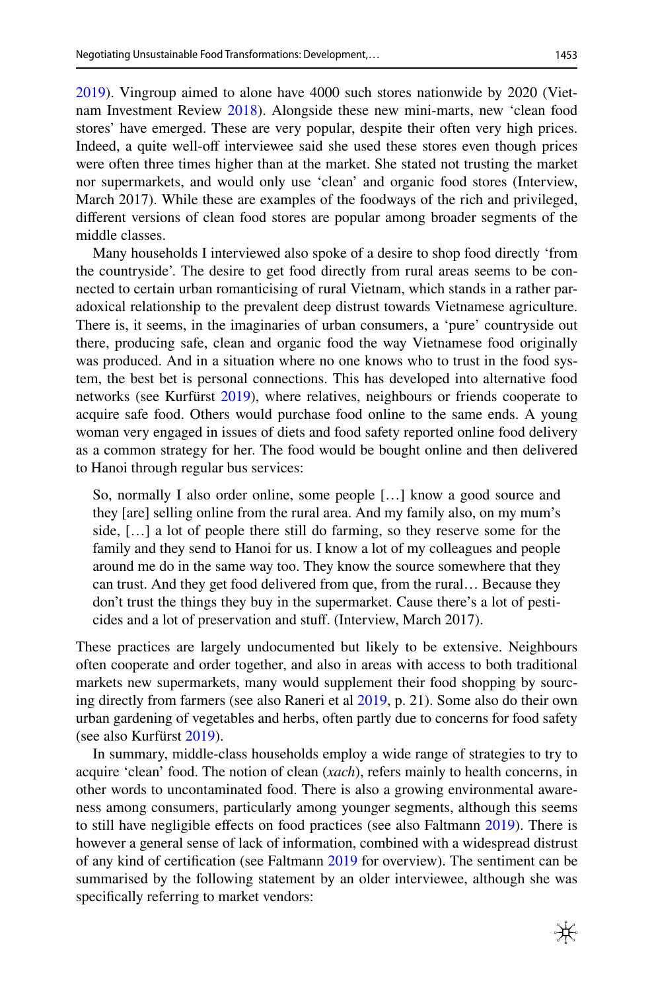[2019](#page-18-13)). Vingroup aimed to alone have 4000 such stores nationwide by 2020 (Vietnam Investment Review [2018](#page-17-21)). Alongside these new mini-marts, new 'clean food stores' have emerged. These are very popular, despite their often very high prices. Indeed, a quite well-of interviewee said she used these stores even though prices were often three times higher than at the market. She stated not trusting the market nor supermarkets, and would only use 'clean' and organic food stores (Interview, March 2017). While these are examples of the foodways of the rich and privileged, diferent versions of clean food stores are popular among broader segments of the middle classes.

Many households I interviewed also spoke of a desire to shop food directly 'from the countryside'. The desire to get food directly from rural areas seems to be connected to certain urban romanticising of rural Vietnam, which stands in a rather paradoxical relationship to the prevalent deep distrust towards Vietnamese agriculture. There is, it seems, in the imaginaries of urban consumers, a 'pure' countryside out there, producing safe, clean and organic food the way Vietnamese food originally was produced. And in a situation where no one knows who to trust in the food system, the best bet is personal connections. This has developed into alternative food networks (see Kurfürst [2019\)](#page-16-21), where relatives, neighbours or friends cooperate to acquire safe food. Others would purchase food online to the same ends. A young woman very engaged in issues of diets and food safety reported online food delivery as a common strategy for her. The food would be bought online and then delivered to Hanoi through regular bus services:

So, normally I also order online, some people […] know a good source and they [are] selling online from the rural area. And my family also, on my mum's side, […] a lot of people there still do farming, so they reserve some for the family and they send to Hanoi for us. I know a lot of my colleagues and people around me do in the same way too. They know the source somewhere that they can trust. And they get food delivered from que, from the rural… Because they don't trust the things they buy in the supermarket. Cause there's a lot of pesticides and a lot of preservation and stuf. (Interview, March 2017).

These practices are largely undocumented but likely to be extensive. Neighbours often cooperate and order together, and also in areas with access to both traditional markets new supermarkets, many would supplement their food shopping by sourcing directly from farmers (see also Raneri et al [2019](#page-17-13), p. 21). Some also do their own urban gardening of vegetables and herbs, often partly due to concerns for food safety (see also Kurfürst [2019\)](#page-16-21).

In summary, middle-class households employ a wide range of strategies to try to acquire 'clean' food. The notion of clean (*xach*), refers mainly to health concerns, in other words to uncontaminated food. There is also a growing environmental awareness among consumers, particularly among younger segments, although this seems to still have negligible efects on food practices (see also Faltmann [2019](#page-15-20)). There is however a general sense of lack of information, combined with a widespread distrust of any kind of certifcation (see Faltmann [2019](#page-15-20) for overview). The sentiment can be summarised by the following statement by an older interviewee, although she was specifcally referring to market vendors: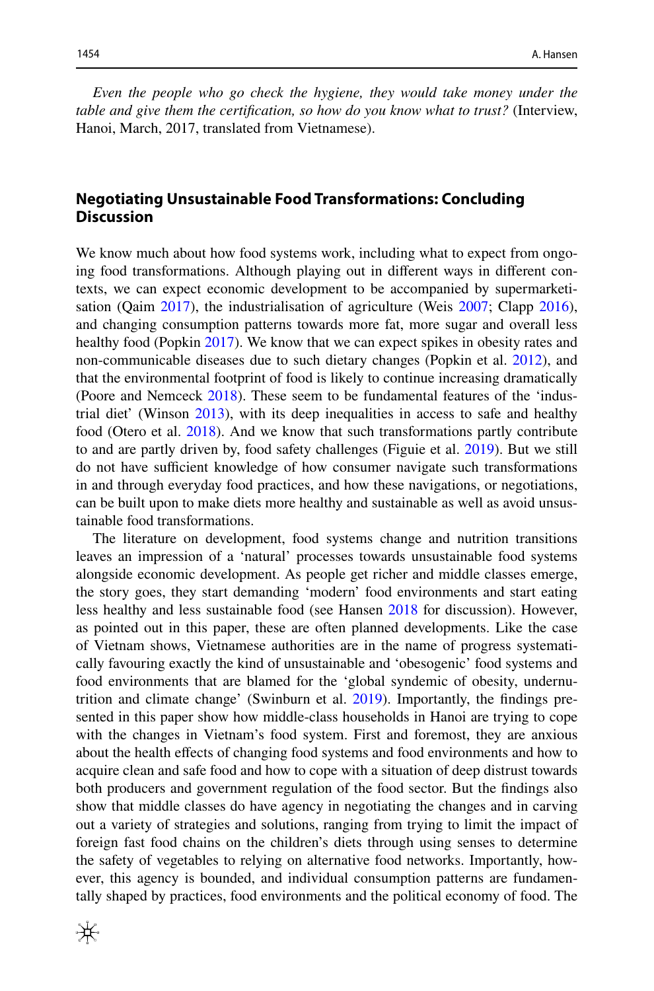*Even the people who go check the hygiene, they would take money under the table and give them the certifcation, so how do you know what to trust?* (Interview, Hanoi, March, 2017, translated from Vietnamese).

# **Negotiating Unsustainable Food Transformations: Concluding Discussion**

We know much about how food systems work, including what to expect from ongoing food transformations. Although playing out in diferent ways in diferent contexts, we can expect economic development to be accompanied by supermarketisation (Qaim [2017\)](#page-17-20), the industrialisation of agriculture (Weis [2007](#page-18-1); Clapp [2016\)](#page-15-8), and changing consumption patterns towards more fat, more sugar and overall less healthy food (Popkin [2017\)](#page-16-1). We know that we can expect spikes in obesity rates and non-communicable diseases due to such dietary changes (Popkin et al. [2012\)](#page-17-4), and that the environmental footprint of food is likely to continue increasing dramatically (Poore and Nemceck [2018\)](#page-16-0). These seem to be fundamental features of the 'industrial diet' (Winson [2013](#page-18-14)), with its deep inequalities in access to safe and healthy food (Otero et al. [2018](#page-16-22)). And we know that such transformations partly contribute to and are partly driven by, food safety challenges (Figuie et al. [2019](#page-15-21)). But we still do not have sufficient knowledge of how consumer navigate such transformations in and through everyday food practices, and how these navigations, or negotiations, can be built upon to make diets more healthy and sustainable as well as avoid unsustainable food transformations.

The literature on development, food systems change and nutrition transitions leaves an impression of a 'natural' processes towards unsustainable food systems alongside economic development. As people get richer and middle classes emerge, the story goes, they start demanding 'modern' food environments and start eating less healthy and less sustainable food (see Hansen [2018](#page-15-16) for discussion). However, as pointed out in this paper, these are often planned developments. Like the case of Vietnam shows, Vietnamese authorities are in the name of progress systematically favouring exactly the kind of unsustainable and 'obesogenic' food systems and food environments that are blamed for the 'global syndemic of obesity, undernutrition and climate change' (Swinburn et al. [2019](#page-17-0)). Importantly, the fndings presented in this paper show how middle-class households in Hanoi are trying to cope with the changes in Vietnam's food system. First and foremost, they are anxious about the health efects of changing food systems and food environments and how to acquire clean and safe food and how to cope with a situation of deep distrust towards both producers and government regulation of the food sector. But the fndings also show that middle classes do have agency in negotiating the changes and in carving out a variety of strategies and solutions, ranging from trying to limit the impact of foreign fast food chains on the children's diets through using senses to determine the safety of vegetables to relying on alternative food networks. Importantly, however, this agency is bounded, and individual consumption patterns are fundamentally shaped by practices, food environments and the political economy of food. The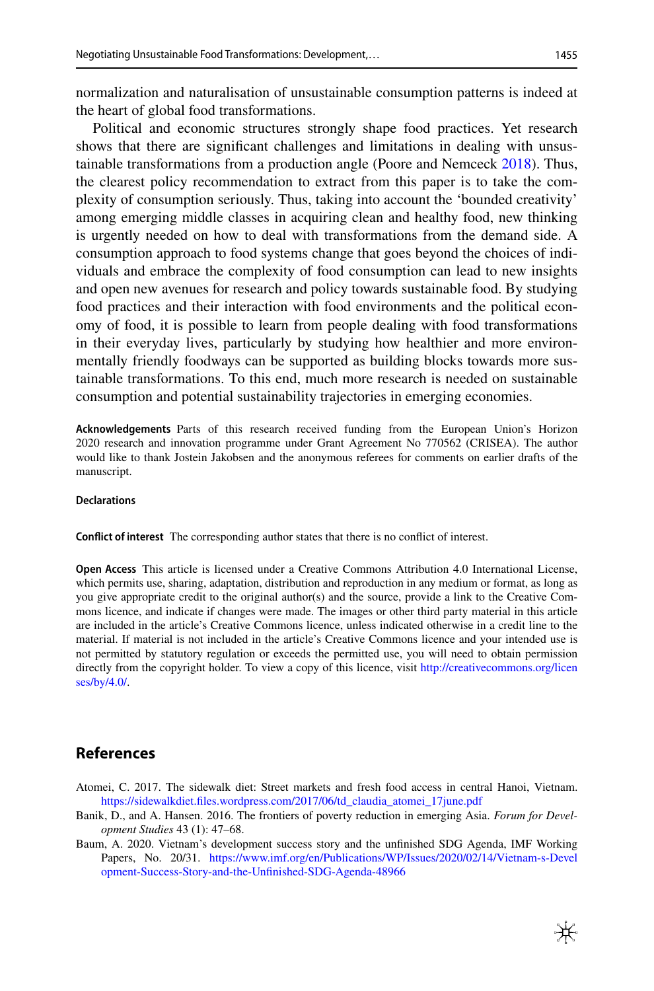normalization and naturalisation of unsustainable consumption patterns is indeed at the heart of global food transformations.

Political and economic structures strongly shape food practices. Yet research shows that there are signifcant challenges and limitations in dealing with unsus-tainable transformations from a production angle (Poore and Nemceck [2018](#page-16-0)). Thus, the clearest policy recommendation to extract from this paper is to take the complexity of consumption seriously. Thus, taking into account the 'bounded creativity' among emerging middle classes in acquiring clean and healthy food, new thinking is urgently needed on how to deal with transformations from the demand side. A consumption approach to food systems change that goes beyond the choices of individuals and embrace the complexity of food consumption can lead to new insights and open new avenues for research and policy towards sustainable food. By studying food practices and their interaction with food environments and the political economy of food, it is possible to learn from people dealing with food transformations in their everyday lives, particularly by studying how healthier and more environmentally friendly foodways can be supported as building blocks towards more sustainable transformations. To this end, much more research is needed on sustainable consumption and potential sustainability trajectories in emerging economies.

**Acknowledgements** Parts of this research received funding from the European Union's Horizon 2020 research and innovation programme under Grant Agreement No 770562 (CRISEA). The author would like to thank Jostein Jakobsen and the anonymous referees for comments on earlier drafts of the manuscript.

#### **Declarations**

**Confict of interest** The corresponding author states that there is no confict of interest.

**Open Access** This article is licensed under a Creative Commons Attribution 4.0 International License, which permits use, sharing, adaptation, distribution and reproduction in any medium or format, as long as you give appropriate credit to the original author(s) and the source, provide a link to the Creative Commons licence, and indicate if changes were made. The images or other third party material in this article are included in the article's Creative Commons licence, unless indicated otherwise in a credit line to the material. If material is not included in the article's Creative Commons licence and your intended use is not permitted by statutory regulation or exceeds the permitted use, you will need to obtain permission directly from the copyright holder. To view a copy of this licence, visit [http://creativecommons.org/licen](http://creativecommons.org/licenses/by/4.0/) [ses/by/4.0/](http://creativecommons.org/licenses/by/4.0/).

#### **References**

- <span id="page-14-2"></span>Atomei, C. 2017. The sidewalk diet: Street markets and fresh food access in central Hanoi, Vietnam. [https://sidewalkdiet.fles.wordpress.com/2017/06/td\\_claudia\\_atomei\\_17june.pdf](https://sidewalkdiet.files.wordpress.com/2017/06/td_claudia_atomei_17june.pdf)
- <span id="page-14-1"></span>Banik, D., and A. Hansen. 2016. The frontiers of poverty reduction in emerging Asia. *Forum for Development Studies* 43 (1): 47–68.
- <span id="page-14-0"></span>Baum, A. 2020. Vietnam's development success story and the unfnished SDG Agenda, IMF Working Papers, No. 20/31. [https://www.imf.org/en/Publications/WP/Issues/2020/02/14/Vietnam-s-Devel](https://www.imf.org/en/Publications/WP/Issues/2020/02/14/Vietnam-s-Development-Success-Story-and-the-Unfinished-SDG-Agenda-48966) [opment-Success-Story-and-the-Unfnished-SDG-Agenda-48966](https://www.imf.org/en/Publications/WP/Issues/2020/02/14/Vietnam-s-Development-Success-Story-and-the-Unfinished-SDG-Agenda-48966)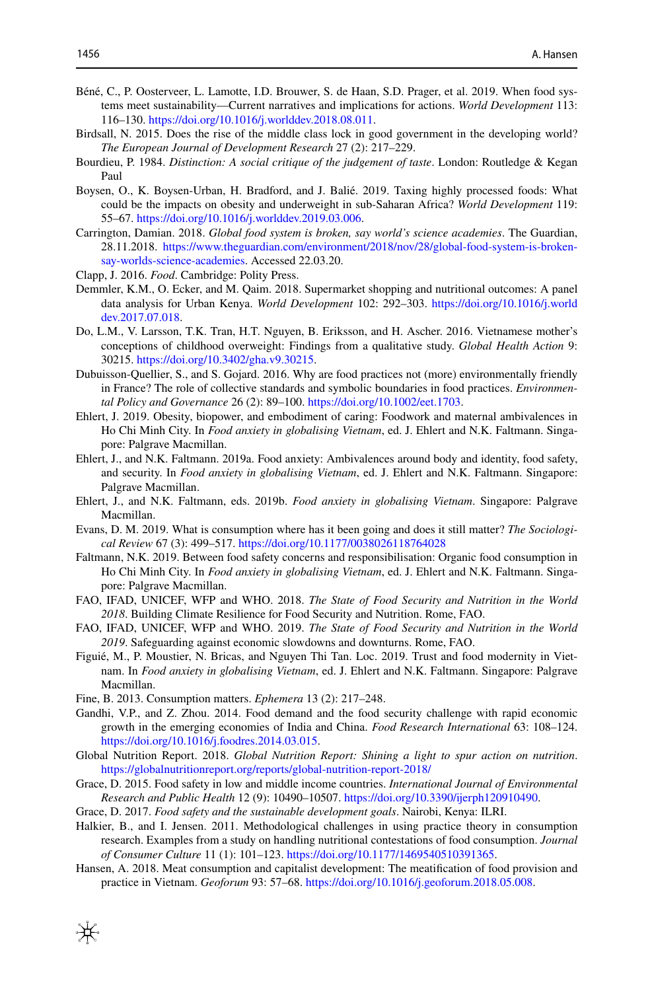- <span id="page-15-6"></span>Béné, C., P. Oosterveer, L. Lamotte, I.D. Brouwer, S. de Haan, S.D. Prager, et al. 2019. When food systems meet sustainability—Current narratives and implications for actions. *World Development* 113: 116–130. [https://doi.org/10.1016/j.worlddev.2018.08.011.](https://doi.org/10.1016/j.worlddev.2018.08.011)
- <span id="page-15-9"></span>Birdsall, N. 2015. Does the rise of the middle class lock in good government in the developing world? *The European Journal of Development Research* 27 (2): 217–229.
- <span id="page-15-19"></span>Bourdieu, P. 1984. *Distinction: A social critique of the judgement of taste*. London: Routledge & Kegan Paul
- <span id="page-15-22"></span>Boysen, O., K. Boysen-Urban, H. Bradford, and J. Balié. 2019. Taxing highly processed foods: What could be the impacts on obesity and underweight in sub-Saharan Africa? *World Development* 119: 55–67. [https://doi.org/10.1016/j.worlddev.2019.03.006.](https://doi.org/10.1016/j.worlddev.2019.03.006)
- <span id="page-15-5"></span>Carrington, Damian. 2018. *Global food system is broken, say world's science academies*. The Guardian, 28.11.2018. [https://www.theguardian.com/environment/2018/nov/28/global-food-system-is-broken](https://www.theguardian.com/environment/2018/nov/28/global-food-system-is-broken-say-worlds-science-academies)[say-worlds-science-academies.](https://www.theguardian.com/environment/2018/nov/28/global-food-system-is-broken-say-worlds-science-academies) Accessed 22.03.20.
- <span id="page-15-8"></span>Clapp, J. 2016. *Food*. Cambridge: Polity Press.
- <span id="page-15-23"></span>Demmler, K.M., O. Ecker, and M. Qaim. 2018. Supermarket shopping and nutritional outcomes: A panel data analysis for Urban Kenya. *World Development* 102: 292–303. [https://doi.org/10.1016/j.world](https://doi.org/10.1016/j.worlddev.2017.07.018) [dev.2017.07.018.](https://doi.org/10.1016/j.worlddev.2017.07.018)
- <span id="page-15-17"></span>Do, L.M., V. Larsson, T.K. Tran, H.T. Nguyen, B. Eriksson, and H. Ascher. 2016. Vietnamese mother's conceptions of childhood overweight: Findings from a qualitative study. *Global Health Action* 9: 30215.<https://doi.org/10.3402/gha.v9.30215>.
- <span id="page-15-14"></span>Dubuisson-Quellier, S., and S. Gojard. 2016. Why are food practices not (more) environmentally friendly in France? The role of collective standards and symbolic boundaries in food practices. *Environmental Policy and Governance* 26 (2): 89–100. [https://doi.org/10.1002/eet.1703.](https://doi.org/10.1002/eet.1703)
- <span id="page-15-18"></span>Ehlert, J. 2019. Obesity, biopower, and embodiment of caring: Foodwork and maternal ambivalences in Ho Chi Minh City. In *Food anxiety in globalising Vietnam*, ed. J. Ehlert and N.K. Faltmann. Singapore: Palgrave Macmillan.
- <span id="page-15-10"></span>Ehlert, J., and N.K. Faltmann. 2019a. Food anxiety: Ambivalences around body and identity, food safety, and security. In *Food anxiety in globalising Vietnam*, ed. J. Ehlert and N.K. Faltmann. Singapore: Palgrave Macmillan.
- <span id="page-15-11"></span>Ehlert, J., and N.K. Faltmann, eds. 2019b. *Food anxiety in globalising Vietnam*. Singapore: Palgrave Macmillan.
- <span id="page-15-12"></span>Evans, D. M. 2019. What is consumption where has it been going and does it still matter? *The Sociological Review* 67 (3): 499–517.<https://doi.org/10.1177/0038026118764028>
- <span id="page-15-20"></span>Faltmann, N.K. 2019. Between food safety concerns and responsibilisation: Organic food consumption in Ho Chi Minh City. In *Food anxiety in globalising Vietnam*, ed. J. Ehlert and N.K. Faltmann. Singapore: Palgrave Macmillan.
- <span id="page-15-1"></span>FAO, IFAD, UNICEF, WFP and WHO. 2018. *The State of Food Security and Nutrition in the World 2018*. Building Climate Resilience for Food Security and Nutrition. Rome, FAO.
- <span id="page-15-0"></span>FAO, IFAD, UNICEF, WFP and WHO. 2019. *The State of Food Security and Nutrition in the World 2019*. Safeguarding against economic slowdowns and downturns. Rome, FAO.
- <span id="page-15-21"></span>Figuié, M., P. Moustier, N. Bricas, and Nguyen Thi Tan. Loc. 2019. Trust and food modernity in Vietnam. In *Food anxiety in globalising Vietnam*, ed. J. Ehlert and N.K. Faltmann. Singapore: Palgrave Macmillan.
- <span id="page-15-15"></span>Fine, B. 2013. Consumption matters. *Ephemera* 13 (2): 217–248.
- <span id="page-15-7"></span>Gandhi, V.P., and Z. Zhou. 2014. Food demand and the food security challenge with rapid economic growth in the emerging economies of India and China. *Food Research International* 63: 108–124. <https://doi.org/10.1016/j.foodres.2014.03.015>.
- <span id="page-15-2"></span>Global Nutrition Report. 2018. *Global Nutrition Report: Shining a light to spur action on nutrition*. <https://globalnutritionreport.org/reports/global-nutrition-report-2018/>
- <span id="page-15-3"></span>Grace, D. 2015. Food safety in low and middle income countries. *International Journal of Environmental Research and Public Health* 12 (9): 10490–10507. [https://doi.org/10.3390/ijerph120910490.](https://doi.org/10.3390/ijerph120910490)
- <span id="page-15-4"></span>Grace, D. 2017. *Food safety and the sustainable development goals*. Nairobi, Kenya: ILRI.
- <span id="page-15-13"></span>Halkier, B., and I. Jensen. 2011. Methodological challenges in using practice theory in consumption research. Examples from a study on handling nutritional contestations of food consumption. *Journal of Consumer Culture* 11 (1): 101–123. <https://doi.org/10.1177/1469540510391365>.
- <span id="page-15-16"></span>Hansen, A. 2018. Meat consumption and capitalist development: The meatifcation of food provision and practice in Vietnam. *Geoforum* 93: 57–68. <https://doi.org/10.1016/j.geoforum.2018.05.008>.

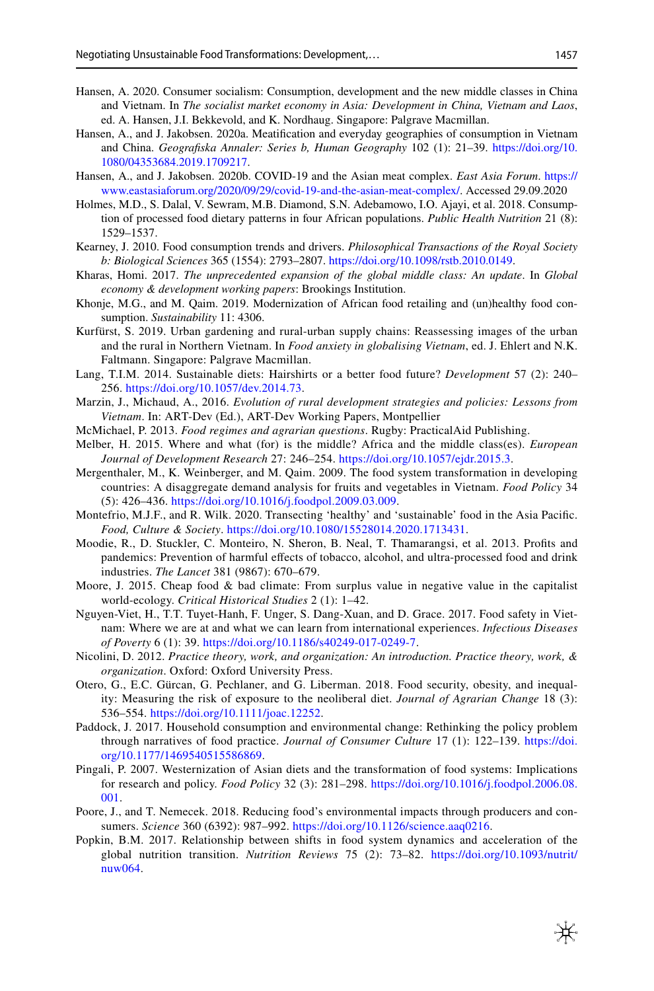- <span id="page-16-9"></span>Hansen, A. 2020. Consumer socialism: Consumption, development and the new middle classes in China and Vietnam. In *The socialist market economy in Asia: Development in China, Vietnam and Laos*, ed. A. Hansen, J.I. Bekkevold, and K. Nordhaug. Singapore: Palgrave Macmillan.
- <span id="page-16-18"></span>Hansen, A., and J. Jakobsen. 2020a. Meatifcation and everyday geographies of consumption in Vietnam and China. *Geografska Annaler: Series b, Human Geography* 102 (1): 21–39. [https://doi.org/10.](https://doi.org/10.1080/04353684.2019.1709217) [1080/04353684.2019.1709217](https://doi.org/10.1080/04353684.2019.1709217).
- <span id="page-16-19"></span>Hansen, A., and J. Jakobsen. 2020b. COVID-19 and the Asian meat complex. *East Asia Forum*. [https://](https://www.eastasiaforum.org/2020/09/29/covid-19-and-the-asian-meat-complex/) [www.eastasiaforum.org/2020/09/29/covid-19-and-the-asian-meat-complex/](https://www.eastasiaforum.org/2020/09/29/covid-19-and-the-asian-meat-complex/). Accessed 29.09.2020
- <span id="page-16-3"></span>Holmes, M.D., S. Dalal, V. Sewram, M.B. Diamond, S.N. Adebamowo, I.O. Ajayi, et al. 2018. Consumption of processed food dietary patterns in four African populations. *Public Health Nutrition* 21 (8): 1529–1537.
- <span id="page-16-12"></span>Kearney, J. 2010. Food consumption trends and drivers. *Philosophical Transactions of the Royal Society b: Biological Sciences* 365 (1554): 2793–2807. [https://doi.org/10.1098/rstb.2010.0149.](https://doi.org/10.1098/rstb.2010.0149)
- <span id="page-16-8"></span>Kharas, Homi. 2017. *The unprecedented expansion of the global middle class: An update*. In *Global economy & development working papers*: Brookings Institution.
- <span id="page-16-10"></span>Khonje, M.G., and M. Qaim. 2019. Modernization of African food retailing and (un)healthy food consumption. *Sustainability* 11: 4306.
- <span id="page-16-21"></span>Kurfürst, S. 2019. Urban gardening and rural-urban supply chains: Reassessing images of the urban and the rural in Northern Vietnam. In *Food anxiety in globalising Vietnam*, ed. J. Ehlert and N.K. Faltmann. Singapore: Palgrave Macmillan.
- <span id="page-16-2"></span>Lang, T.I.M. 2014. Sustainable diets: Hairshirts or a better food future? *Development* 57 (2): 240– 256. [https://doi.org/10.1057/dev.2014.73.](https://doi.org/10.1057/dev.2014.73)
- <span id="page-16-17"></span>Marzin, J., Michaud, A., 2016. *Evolution of rural development strategies and policies: Lessons from Vietnam*. In: ART-Dev (Ed.), ART-Dev Working Papers, Montpellier
- <span id="page-16-5"></span>McMichael, P. 2013. *Food regimes and agrarian questions*. Rugby: PracticalAid Publishing.
- <span id="page-16-7"></span>Melber, H. 2015. Where and what (for) is the middle? Africa and the middle class(es). *European Journal of Development Research* 27: 246–254. <https://doi.org/10.1057/ejdr.2015.3>.
- <span id="page-16-14"></span>Mergenthaler, M., K. Weinberger, and M. Qaim. 2009. The food system transformation in developing countries: A disaggregate demand analysis for fruits and vegetables in Vietnam. *Food Policy* 34 (5): 426–436.<https://doi.org/10.1016/j.foodpol.2009.03.009>.
- <span id="page-16-13"></span>Montefrio, M.J.F., and R. Wilk. 2020. Transecting 'healthy' and 'sustainable' food in the Asia Pacifc. *Food, Culture & Society*. <https://doi.org/10.1080/15528014.2020.1713431>.
- <span id="page-16-4"></span>Moodie, R., D. Stuckler, C. Monteiro, N. Sheron, B. Neal, T. Thamarangsi, et al. 2013. Profts and pandemics: Prevention of harmful efects of tobacco, alcohol, and ultra-processed food and drink industries. *The Lancet* 381 (9867): 670–679.
- <span id="page-16-6"></span>Moore, J. 2015. Cheap food & bad climate: From surplus value in negative value in the capitalist world-ecology. *Critical Historical Studies* 2 (1): 1–42.
- <span id="page-16-20"></span>Nguyen-Viet, H., T.T. Tuyet-Hanh, F. Unger, S. Dang-Xuan, and D. Grace. 2017. Food safety in Vietnam: Where we are at and what we can learn from international experiences. *Infectious Diseases of Poverty* 6 (1): 39. [https://doi.org/10.1186/s40249-017-0249-7.](https://doi.org/10.1186/s40249-017-0249-7)
- <span id="page-16-16"></span>Nicolini, D. 2012. *Practice theory, work, and organization: An introduction. Practice theory, work, & organization*. Oxford: Oxford University Press.
- <span id="page-16-22"></span>Otero, G., E.C. Gürcan, G. Pechlaner, and G. Liberman. 2018. Food security, obesity, and inequality: Measuring the risk of exposure to the neoliberal diet. *Journal of Agrarian Change* 18 (3): 536–554. [https://doi.org/10.1111/joac.12252.](https://doi.org/10.1111/joac.12252)
- <span id="page-16-15"></span>Paddock, J. 2017. Household consumption and environmental change: Rethinking the policy problem through narratives of food practice. *Journal of Consumer Culture* 17 (1): 122–139. [https://doi.](https://doi.org/10.1177/1469540515586869) [org/10.1177/1469540515586869](https://doi.org/10.1177/1469540515586869).
- <span id="page-16-11"></span>Pingali, P. 2007. Westernization of Asian diets and the transformation of food systems: Implications for research and policy. *Food Policy* 32 (3): 281–298. [https://doi.org/10.1016/j.foodpol.2006.08.](https://doi.org/10.1016/j.foodpol.2006.08.001) [001](https://doi.org/10.1016/j.foodpol.2006.08.001).
- <span id="page-16-0"></span>Poore, J., and T. Nemecek. 2018. Reducing food's environmental impacts through producers and consumers. *Science* 360 (6392): 987–992. <https://doi.org/10.1126/science.aaq0216>.
- <span id="page-16-1"></span>Popkin, B.M. 2017. Relationship between shifts in food system dynamics and acceleration of the global nutrition transition. *Nutrition Reviews* 75 (2): 73–82. [https://doi.org/10.1093/nutrit/](https://doi.org/10.1093/nutrit/nuw064) [nuw064](https://doi.org/10.1093/nutrit/nuw064).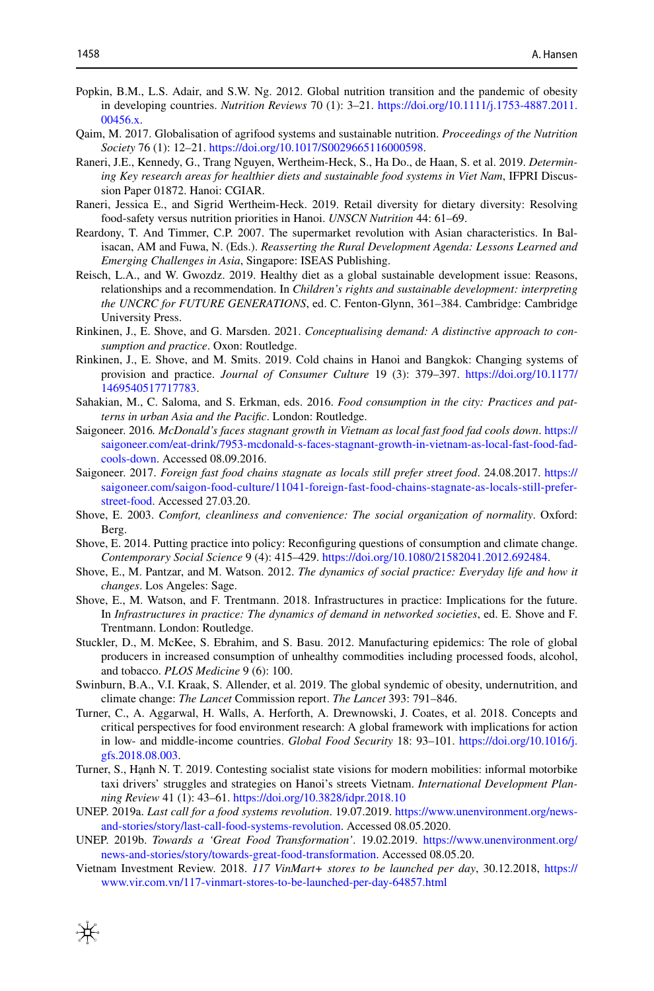- <span id="page-17-4"></span>Popkin, B.M., L.S. Adair, and S.W. Ng. 2012. Global nutrition transition and the pandemic of obesity in developing countries. *Nutrition Reviews* 70 (1): 3–21. [https://doi.org/10.1111/j.1753-4887.2011.](https://doi.org/10.1111/j.1753-4887.2011.00456.x) [00456.x](https://doi.org/10.1111/j.1753-4887.2011.00456.x).
- <span id="page-17-20"></span>Qaim, M. 2017. Globalisation of agrifood systems and sustainable nutrition. *Proceedings of the Nutrition Society* 76 (1): 12–21. <https://doi.org/10.1017/S0029665116000598>.
- <span id="page-17-13"></span>Raneri, J.E., Kennedy, G., Trang Nguyen, Wertheim-Heck, S., Ha Do., de Haan, S. et al. 2019. *Determining Key research areas for healthier diets and sustainable food systems in Viet Nam*, IFPRI Discussion Paper 01872. Hanoi: CGIAR.
- <span id="page-17-17"></span>Raneri, Jessica E., and Sigrid Wertheim-Heck. 2019. Retail diversity for dietary diversity: Resolving food-safety versus nutrition priorities in Hanoi. *UNSCN Nutrition* 44: 61–69.
- <span id="page-17-18"></span>Reardony, T. And Timmer, C.P. 2007. The supermarket revolution with Asian characteristics. In Balisacan, AM and Fuwa, N. (Eds.). *Reasserting the Rural Development Agenda: Lessons Learned and Emerging Challenges in Asia*, Singapore: ISEAS Publishing.
- <span id="page-17-1"></span>Reisch, L.A., and W. Gwozdz. 2019. Healthy diet as a global sustainable development issue: Reasons, relationships and a recommendation. In *Children's rights and sustainable development: interpreting the UNCRC for FUTURE GENERATIONS*, ed. C. Fenton-Glynn, 361–384. Cambridge: Cambridge University Press.
- <span id="page-17-11"></span>Rinkinen, J., E. Shove, and G. Marsden. 2021. *Conceptualising demand: A distinctive approach to consumption and practice*. Oxon: Routledge.
- <span id="page-17-12"></span>Rinkinen, J., E. Shove, and M. Smits. 2019. Cold chains in Hanoi and Bangkok: Changing systems of provision and practice. *Journal of Consumer Culture* 19 (3): 379–397. [https://doi.org/10.1177/](https://doi.org/10.1177/1469540517717783) [1469540517717783](https://doi.org/10.1177/1469540517717783).
- <span id="page-17-7"></span>Sahakian, M., C. Saloma, and S. Erkman, eds. 2016. *Food consumption in the city: Practices and patterns in urban Asia and the Pacifc*. London: Routledge.
- <span id="page-17-14"></span>Saigoneer. 2016*. McDonald's faces stagnant growth in Vietnam as local fast food fad cools down*. [https://](https://saigoneer.com/eat-drink/7953-mcdonald-s-faces-stagnant-growth-in-vietnam-as-local-fast-food-fad-cools-down) [saigoneer.com/eat-drink/7953-mcdonald-s-faces-stagnant-growth-in-vietnam-as-local-fast-food-fad](https://saigoneer.com/eat-drink/7953-mcdonald-s-faces-stagnant-growth-in-vietnam-as-local-fast-food-fad-cools-down)[cools-down](https://saigoneer.com/eat-drink/7953-mcdonald-s-faces-stagnant-growth-in-vietnam-as-local-fast-food-fad-cools-down). Accessed 08.09.2016.
- <span id="page-17-15"></span>Saigoneer. 2017. *Foreign fast food chains stagnate as locals still prefer street food*. 24.08.2017. [https://](https://saigoneer.com/saigon-food-culture/11041-foreign-fast-food-chains-stagnate-as-locals-still-prefer-street-food) [saigoneer.com/saigon-food-culture/11041-foreign-fast-food-chains-stagnate-as-locals-still-prefer](https://saigoneer.com/saigon-food-culture/11041-foreign-fast-food-chains-stagnate-as-locals-still-prefer-street-food)[street-food](https://saigoneer.com/saigon-food-culture/11041-foreign-fast-food-chains-stagnate-as-locals-still-prefer-street-food). Accessed 27.03.20.
- <span id="page-17-19"></span>Shove, E. 2003. *Comfort, cleanliness and convenience: The social organization of normality*. Oxford: Berg.
- <span id="page-17-8"></span>Shove, E. 2014. Putting practice into policy: Reconfguring questions of consumption and climate change. *Contemporary Social Science* 9 (4): 415–429. <https://doi.org/10.1080/21582041.2012.692484>.
- <span id="page-17-9"></span>Shove, E., M. Pantzar, and M. Watson. 2012. *The dynamics of social practice: Everyday life and how it changes*. Los Angeles: Sage.
- <span id="page-17-10"></span>Shove, E., M. Watson, and F. Trentmann. 2018. Infrastructures in practice: Implications for the future. In *Infrastructures in practice: The dynamics of demand in networked societies*, ed. E. Shove and F. Trentmann. London: Routledge.
- <span id="page-17-5"></span>Stuckler, D., M. McKee, S. Ebrahim, and S. Basu. 2012. Manufacturing epidemics: The role of global producers in increased consumption of unhealthy commodities including processed foods, alcohol, and tobacco. *PLOS Medicine* 9 (6): 100.
- <span id="page-17-0"></span>Swinburn, B.A., V.I. Kraak, S. Allender, et al. 2019. The global syndemic of obesity, undernutrition, and climate change: *The Lancet* Commission report. *The Lancet* 393: 791–846.
- <span id="page-17-6"></span>Turner, C., A. Aggarwal, H. Walls, A. Herforth, A. Drewnowski, J. Coates, et al. 2018. Concepts and critical perspectives for food environment research: A global framework with implications for action in low- and middle-income countries. *Global Food Security* 18: 93–101. [https://doi.org/10.1016/j.](https://doi.org/10.1016/j.gfs.2018.08.003) [gfs.2018.08.003.](https://doi.org/10.1016/j.gfs.2018.08.003)
- <span id="page-17-16"></span>Turner, S., Hạnh N. T. 2019. Contesting socialist state visions for modern mobilities: informal motorbike taxi drivers' struggles and strategies on Hanoi's streets Vietnam. *International Development Planning Review* 41 (1): 43–61. <https://doi.org/10.3828/idpr.2018.10>
- <span id="page-17-2"></span>UNEP. 2019a. *Last call for a food systems revolution*. 19.07.2019. [https://www.unenvironment.org/news](https://www.unenvironment.org/news-and-stories/story/last-call-food-systems-revolution)[and-stories/story/last-call-food-systems-revolution](https://www.unenvironment.org/news-and-stories/story/last-call-food-systems-revolution). Accessed 08.05.2020.
- <span id="page-17-3"></span>UNEP. 2019b. *Towards a 'Great Food Transformation'*. 19.02.2019. [https://www.unenvironment.org/](https://www.unenvironment.org/news-and-stories/story/towards-great-food-transformation) [news-and-stories/story/towards-great-food-transformation.](https://www.unenvironment.org/news-and-stories/story/towards-great-food-transformation) Accessed 08.05.20.
- <span id="page-17-21"></span>Vietnam Investment Review. 2018. *117 VinMart+ stores to be launched per day*, 30.12.2018, [https://](https://www.vir.com.vn/117-vinmart-stores-to-be-launched-per-day-64857.html) [www.vir.com.vn/117-vinmart-stores-to-be-launched-per-day-64857.html](https://www.vir.com.vn/117-vinmart-stores-to-be-launched-per-day-64857.html)